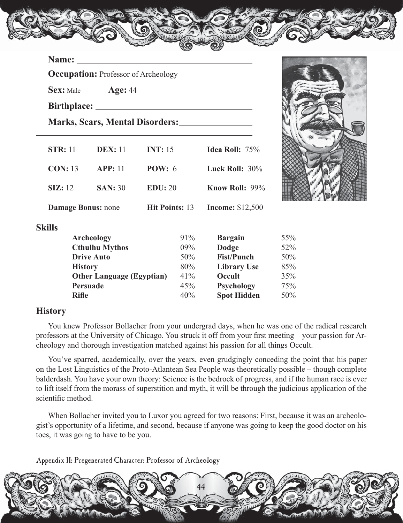### **Name:**

**Occupation:** Professor of Archeology

 **Sex:** Male **Age:** 44

 **Birthplace:** 

 **Marks, Scars, Mental Disorders:**

| <b>STR: 11</b>            | <b>DEX:</b> 11        | <b>INT: 15</b>        | Idea Roll: 75%          |     |
|---------------------------|-----------------------|-----------------------|-------------------------|-----|
| <b>CON: 13</b>            | <b>APP: 11</b>        | <b>POW</b> : $6$      | Luck Roll: $30\%$       |     |
| $\sum$ : 12               | <b>SAN</b> : 30       | EDU: 20               | <b>Know Roll: 99%</b>   |     |
| <b>Damage Bonus: none</b> |                       | <b>Hit Points: 13</b> | <b>Income: \$12,500</b> |     |
| <b>Skills</b>             |                       |                       |                         |     |
|                           | <b>Archeology</b>     | 91%                   | <b>Bargain</b>          | 55% |
|                           | <b>Cthulhu Mythos</b> | $09\%$                | Dodge                   | 52% |
|                           | <b>Drive Auto</b>     | 50%                   | <b>Fist/Punch</b>       | 50% |
|                           |                       |                       |                         |     |



## **Sk**

 $\overline{a}$ 

| . |                                  |        |                    |     |
|---|----------------------------------|--------|--------------------|-----|
|   | <b>Archeology</b>                | 91%    | <b>Bargain</b>     | 55% |
|   | <b>Cthulhu Mythos</b>            | $09\%$ | Dodge              | 52% |
|   | <b>Drive Auto</b>                | 50%    | <b>Fist/Punch</b>  | 50% |
|   | <b>History</b>                   | 80%    | <b>Library Use</b> | 85% |
|   | <b>Other Language (Egyptian)</b> | 41%    | Occult             | 35% |
|   | Persuade                         | 45%    | <b>Psychology</b>  | 75% |
|   | <b>Rifle</b>                     | 40%    | <b>Spot Hidden</b> | 50% |
|   |                                  |        |                    |     |

### **History**

 You knew Professor Bollacher from your undergrad days, when he was one of the radical research professors at the University of Chicago. You struck it off from your first meeting – your passion for Archeology and thorough investigation matched against his passion for all things Occult.

 You've sparred, academically, over the years, even grudgingly conceding the point that his paper on the Lost Linguistics of the Proto-Atlantean Sea People was theoretically possible – though complete balderdash. You have your own theory: Science is the bedrock of progress, and if the human race is ever to lift itself from the morass of superstition and myth, it will be through the judicious application of the scientific method.

 When Bollacher invited you to Luxor you agreed for two reasons: First, because it was an archeologist's opportunity of a lifetime, and second, because if anyone was going to keep the good doctor on his toes, it was going to have to be you.

Appendix II: Pregenerated Character: Professor of Archeology

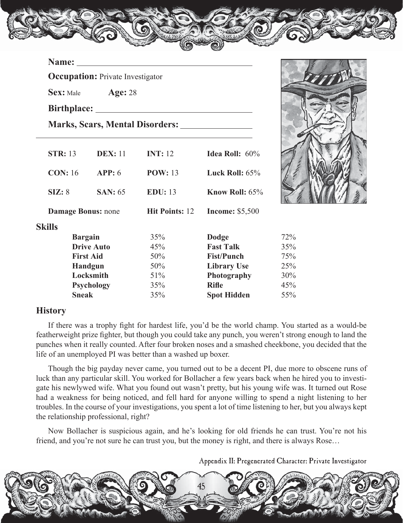#### **Name:**

 $\overline{a}$ 

**Occupation:** Private Investigator

 **Sex:** Male **Age:** 28

 **Birthplace:** 

 **Marks, Scars, Mental Disorders:**

| <b>STR: 13</b>            | <b>DEX: 11</b>    | <b>INT:</b> 12        | Idea Roll: $60\%$      |     |
|---------------------------|-------------------|-----------------------|------------------------|-----|
| <b>CON: 16</b>            | APP: 6            | <b>POW: 13</b>        | Luck Roll: $65%$       |     |
| SIZ: 8                    | <b>SAN</b> : 65   | <b>EDU:</b> 13        | Know Roll: 65%         |     |
| <b>Damage Bonus: none</b> |                   | <b>Hit Points: 12</b> | <b>Income: \$5,500</b> |     |
| <b>Skills</b>             |                   |                       |                        |     |
| <b>Bargain</b>            |                   | 35%                   | Dodge                  | 72% |
|                           | <b>Drive Auto</b> | 45%                   | <b>Fast Talk</b>       | 35% |
|                           | <b>First Aid</b>  | 50%                   | <b>Fist/Punch</b>      | 75% |
|                           | <b>Handgun</b>    | 50%                   | <b>Library Use</b>     | 25% |
|                           | Locksmith         | 51%                   | Photography            | 30% |
|                           | <b>Psychology</b> | 35%                   | <b>Rifle</b>           | 45% |
| <b>Sneak</b>              |                   | 35%                   | <b>Spot Hidden</b>     | 55% |

### **History**

 If there was a trophy fight for hardest life, you'd be the world champ. You started as a would-be featherweight prize fighter, but though you could take any punch, you weren't strong enough to land the punches when it really counted. After four broken noses and a smashed cheekbone, you decided that the life of an unemployed PI was better than a washed up boxer.

 Though the big payday never came, you turned out to be a decent PI, due more to obscene runs of luck than any particular skill. You worked for Bollacher a few years back when he hired you to investigate his newlywed wife. What you found out wasn't pretty, but his young wife was. It turned out Rose had a weakness for being noticed, and fell hard for anyone willing to spend a night listening to her troubles. In the course of your investigations, you spent a lot of time listening to her, but you always kept the relationship professional, right?

 Now Bollacher is suspicious again, and he's looking for old friends he can trust. You're not his friend, and you're not sure he can trust you, but the money is right, and there is always Rose…

Appendix II: Pregenerated Character: Private Investigator



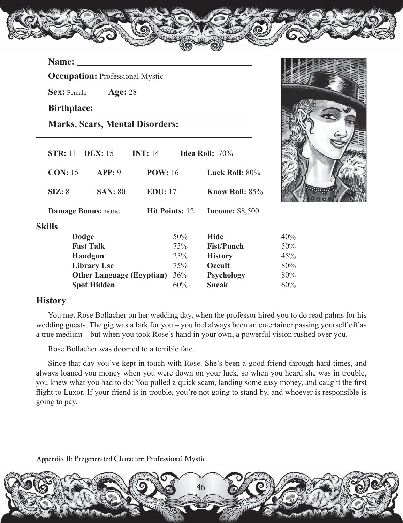#### **Name:**

**Occupation:** Professional Mystic

 **Sex:** Female **Age:** 28

 **Birthplace:** 

 $\overline{a}$ 

 **Marks, Scars, Mental Disorders:**

| <b>STR: 11</b> | <b>DEX:</b> 15                   | <b>INT:</b> 14 |                       | <b>Idea Roll:</b> $70\%$ |     |
|----------------|----------------------------------|----------------|-----------------------|--------------------------|-----|
| <b>CON: 15</b> | APP: 9                           | <b>POW: 16</b> |                       | Luck Roll: $80\%$        |     |
| SIZ: 8         | <b>SAN</b> : 80                  | <b>EDU:</b> 17 |                       | <b>Know Roll: 85%</b>    |     |
|                | <b>Damage Bonus: none</b>        |                | <b>Hit Points: 12</b> | <b>Income: \$8,500</b>   |     |
| <b>Skills</b>  |                                  |                |                       |                          |     |
|                | <b>Dodge</b>                     |                | 50%                   | <b>Hide</b>              | 40% |
|                | <b>Fast Talk</b>                 |                | 75%                   | <b>Fist/Punch</b>        | 50% |
|                | <b>Handgun</b>                   |                | 25%                   | <b>History</b>           | 45% |
|                | <b>Library Use</b>               |                | 75%                   | Occult                   | 80% |
|                | <b>Other Language (Egyptian)</b> |                | 36%                   | <b>Psychology</b>        | 80% |
|                | <b>Spot Hidden</b>               |                | 60%                   | <b>Sneak</b>             | 60% |



 You met Rose Bollacher on her wedding day, when the professor hired you to do read palms for his wedding guests. The gig was a lark for you – you had always been an entertainer passing yourself off as a true medium – but when you took Rose's hand in your own, a powerful vision rushed over you.

Rose Bollacher was doomed to a terrible fate.

 Since that day you've kept in touch with Rose. She's been a good friend through hard times, and always loaned you money when you were down on your luck, so when you heard she was in trouble, you knew what you had to do: You pulled a quick scam, landing some easy money, and caught the first flight to Luxor. If your friend is in trouble, you're not going to stand by, and whoever is responsible is going to pay.

Appendix II: Pregenerated Character: Professional Mystic



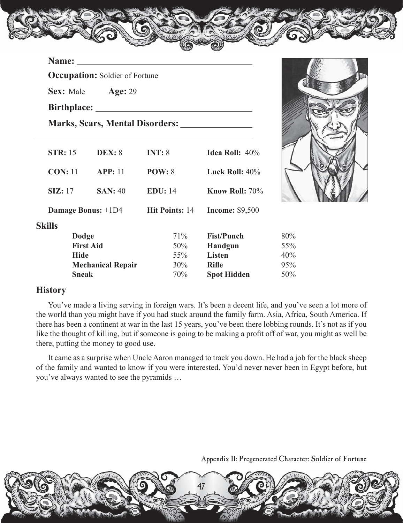|                | <b>Occupation:</b> Soldier of Fortune |         |                                |     |
|----------------|---------------------------------------|---------|--------------------------------|-----|
|                | <b>Sex:</b> Male <b>Age:</b> 29       |         |                                |     |
|                |                                       |         |                                |     |
|                |                                       |         |                                |     |
| <b>STR:</b> 15 | <b>DEX:</b> 8                         | INT: 8  | <b>Idea Roll:</b> $40\%$       |     |
|                | <b>CON:</b> 11 <b>APP:</b> 11         | POW: 8  | Luck Roll: $40\%$              |     |
|                | $SL: 17$ $SAN: 40$                    | EDU: 14 | Know Roll: 70%                 |     |
|                | <b>Damage Bonus:</b> +1D4             |         | Hit Points: 14 Income: \$9,500 |     |
| <b>Skills</b>  |                                       |         |                                |     |
| <b>Dodge</b>   |                                       | $71\%$  | <b>Fist/Punch</b>              | 80% |
|                | <b>First Aid</b>                      | $50\%$  | Handgun                        | 55% |
| <b>Hide</b>    |                                       | $55\%$  | Listen                         | 40% |
|                | <b>Mechanical Repair</b>              | $30\%$  | <b>Rifle</b>                   | 95% |



| SKIIIS |                          |        |                    |     |
|--------|--------------------------|--------|--------------------|-----|
|        | Dodge                    | 71\%   | <b>Fist/Punch</b>  | 80% |
|        | <b>First Aid</b>         | 50%    | <b>Handgun</b>     | 55% |
|        | Hide                     | $55\%$ | <b>Listen</b>      | 40% |
|        | <b>Mechanical Repair</b> | $30\%$ | <b>Rifle</b>       | 95% |
|        | <b>Sneak</b>             | 70%    | <b>Spot Hidden</b> | 50% |
|        |                          |        |                    |     |

# **History**

 You've made a living serving in foreign wars. It's been a decent life, and you've seen a lot more of the world than you might have if you had stuck around the family farm. Asia, Africa, South America. If there has been a continent at war in the last 15 years, you've been there lobbing rounds. It's not as if you like the thought of killing, but if someone is going to be making a profit off of war, you might as well be there, putting the money to good use.

 It came as a surprise when Uncle Aaron managed to track you down. He had a job for the black sheep of the family and wanted to know if you were interested. You'd never never been in Egypt before, but you've always wanted to see the pyramids …